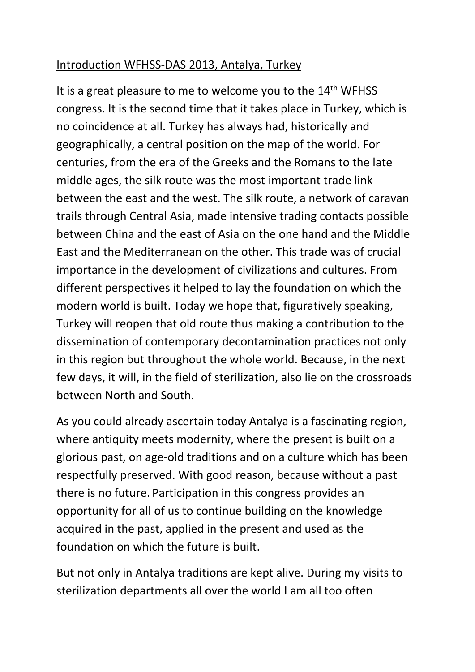## Introduction WFHSS-DAS 2013, Antalya, Turkey

It is a great pleasure to me to welcome you to the 14<sup>th</sup> WFHSS congress. It is the second time that it takes place in Turkey, which is no coincidence at all. Turkey has always had, historically and geographically, a central position on the map of the world. For centuries, from the era of the Greeks and the Romans to the late middle ages, the silk route was the most important trade link between the east and the west. The silk route, a network of caravan trails through Central Asia, made intensive trading contacts possible between China and the east of Asia on the one hand and the Middle East and the Mediterranean on the other. This trade was of crucial importance in the development of civilizations and cultures. From different perspectives it helped to lay the foundation on which the modern world is built. Today we hope that, figuratively speaking, Turkey will reopen that old route thus making a contribution to the dissemination of contemporary decontamination practices not only in this region but throughout the whole world. Because, in the next few days, it will, in the field of sterilization, also lie on the crossroads between North and South.

As you could already ascertain today Antalya is a fascinating region, where antiquity meets modernity, where the present is built on a glorious past, on age-old traditions and on a culture which has been respectfully preserved. With good reason, because without a past there is no future. Participation in this congress provides an opportunity for all of us to continue building on the knowledge acquired in the past, applied in the present and used as the foundation on which the future is built.

But not only in Antalya traditions are kept alive. During my visits to sterilization departments all over the world I am all too often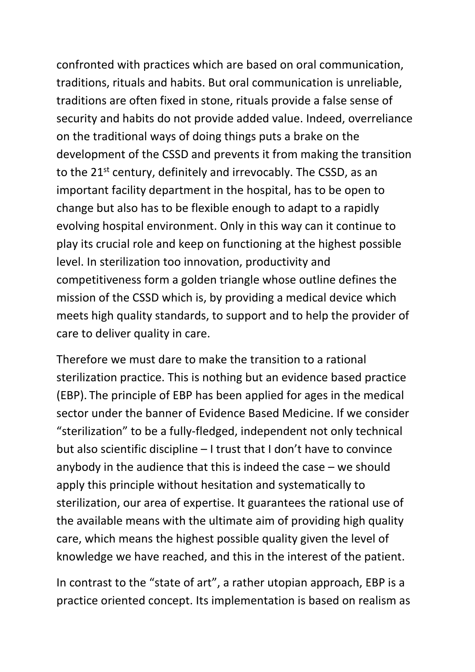confronted with practices which are based on oral communication, traditions, rituals and habits. But oral communication is unreliable, traditions are often fixed in stone, rituals provide a false sense of security and habits do not provide added value. Indeed, overreliance on the traditional ways of doing things puts a brake on the development of the CSSD and prevents it from making the transition to the 21<sup>st</sup> century, definitely and irrevocably. The CSSD, as an important facility department in the hospital, has to be open to change but also has to be flexible enough to adapt to a rapidly evolving hospital environment. Only in this way can it continue to play its crucial role and keep on functioning at the highest possible level. In sterilization too innovation, productivity and competitiveness form a golden triangle whose outline defines the mission of the CSSD which is, by providing a medical device which meets high quality standards, to support and to help the provider of care to deliver quality in care.

Therefore we must dare to make the transition to a rational sterilization practice. This is nothing but an evidence based practice (EBP). The principle of EBP has been applied for ages in the medical sector under the banner of Evidence Based Medicine. If we consider "sterilization" to be a fully-fledged, independent not only technical but also scientific discipline – I trust that I don't have to convince anybody in the audience that this is indeed the case – we should apply this principle without hesitation and systematically to sterilization, our area of expertise. It guarantees the rational use of the available means with the ultimate aim of providing high quality care, which means the highest possible quality given the level of knowledge we have reached, and this in the interest of the patient.

In contrast to the "state of art", a rather utopian approach, EBP is a practice oriented concept. Its implementation is based on realism as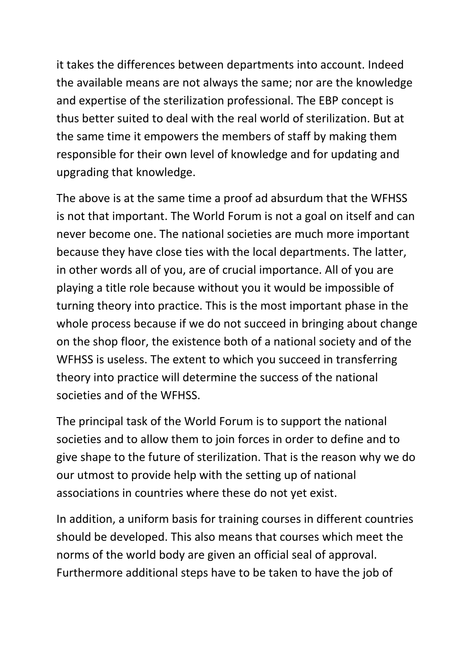it takes the differences between departments into account. Indeed the available means are not always the same; nor are the knowledge and expertise of the sterilization professional. The EBP concept is thus better suited to deal with the real world of sterilization. But at the same time it empowers the members of staff by making them responsible for their own level of knowledge and for updating and upgrading that knowledge.

The above is at the same time a proof ad absurdum that the WFHSS is not that important. The World Forum is not a goal on itself and can never become one. The national societies are much more important because they have close ties with the local departments. The latter, in other words all of you, are of crucial importance. All of you are playing a title role because without you it would be impossible of turning theory into practice. This is the most important phase in the whole process because if we do not succeed in bringing about change on the shop floor, the existence both of a national society and of the WFHSS is useless. The extent to which you succeed in transferring theory into practice will determine the success of the national societies and of the WFHSS.

The principal task of the World Forum is to support the national societies and to allow them to join forces in order to define and to give shape to the future of sterilization. That is the reason why we do our utmost to provide help with the setting up of national associations in countries where these do not yet exist.

In addition, a uniform basis for training courses in different countries should be developed. This also means that courses which meet the norms of the world body are given an official seal of approval. Furthermore additional steps have to be taken to have the job of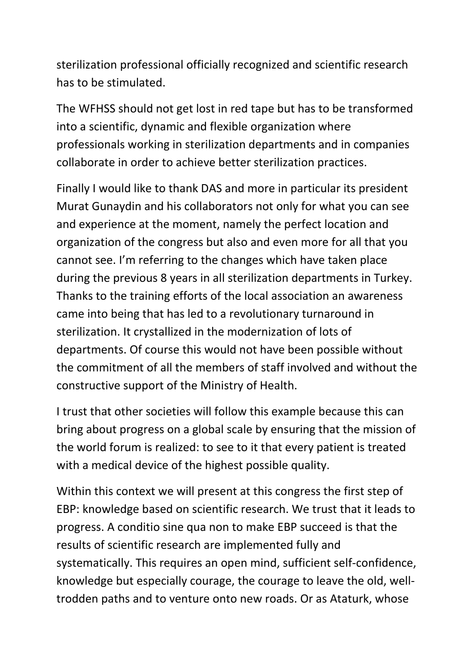sterilization professional officially recognized and scientific research has to be stimulated.

The WFHSS should not get lost in red tape but has to be transformed into a scientific, dynamic and flexible organization where professionals working in sterilization departments and in companies collaborate in order to achieve better sterilization practices.

Finally I would like to thank DAS and more in particular its president Murat Gunaydin and his collaborators not only for what you can see and experience at the moment, namely the perfect location and organization of the congress but also and even more for all that you cannot see. I'm referring to the changes which have taken place during the previous 8 years in all sterilization departments in Turkey. Thanks to the training efforts of the local association an awareness came into being that has led to a revolutionary turnaround in sterilization. It crystallized in the modernization of lots of departments. Of course this would not have been possible without the commitment of all the members of staff involved and without the constructive support of the Ministry of Health.

I trust that other societies will follow this example because this can bring about progress on a global scale by ensuring that the mission of the world forum is realized: to see to it that every patient is treated with a medical device of the highest possible quality.

Within this context we will present at this congress the first step of EBP: knowledge based on scientific research. We trust that it leads to progress. A conditio sine qua non to make EBP succeed is that the results of scientific research are implemented fully and systematically. This requires an open mind, sufficient self-confidence, knowledge but especially courage, the courage to leave the old, welltrodden paths and to venture onto new roads. Or as Ataturk, whose